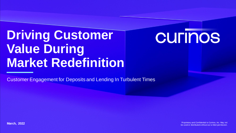# **Driving Customer Value During Market Redefinition**

# **CULIUOS**

Customer Engagement for Deposits and Lending In Turbulent Times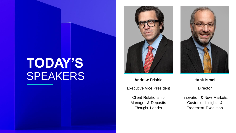# **TODAY'S** SPEAKERS **Andrew Frisbie Hank Israel**



Executive Vice President

Client Relationship Manager & Deposits Thought Leader



**Director** 

Innovation & New Markets: Customer Insights & Treatment Execution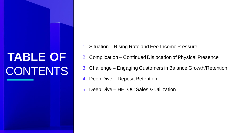# **TABLE OF** CONTENTS

- 1. Situation Rising Rate and Fee Income Pressure
- 2. Complication Continued Dislocation of Physical Presence
- 3. Challenge Engaging Customers in Balance Growth/Retention
- 4. Deep Dive Deposit Retention
- 5. Deep Dive HELOC Sales & Utilization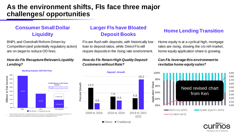# **As the environment shifts, FIs face three major challenges/ opportunities**

## **Consumer Small Dollar Liquidity**

BNPL and Overdraft Reform Driven by Competition (and potentially regulatory action) are on target to reduce OD fees.

#### *How do FIs Recapture Relevant Liquidity Lending?*



**Banking Industry NSF/OD Fees** 

#### Note: 2018 OD Fee Income is SNL SCDA adjusted for OD Fees; OD Fee Income = \$15B (adjusted for COVID impact); Excluded banks with <= \$1B in total assets; Pre-Tax Income defined as retail income, incl. interest income from deposits and consumer loans

## **Larger FIs have Bloated Deposit Books Home Lending Transition**

FIs are flush with deposits, with historically low loan to deposit ratios, while Direct FIs will require deposits in the rising rate environment.

#### *How do FIs Retain High Quality Deposit Customers without Rate?*



Home equity is at a cyclical high, mortgage rates are rising, slowing the c/o refi market, home equity application share is growing.

#### *Can FIs leverage this environment to revitalize home equity sales?*





 $\blacksquare$  Direct  $\blacksquare$  Traditional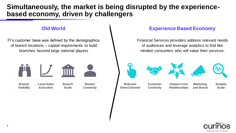# **Simultaneously, the market is being disrupted by the experiencebased economy, driven by challengers**

FI's customer base was defined by the demographics of branch locations – capital requirements to build branches favored large national players



### **Old World Experience Based Economy**

Financial Services providers address relevant needs of audiences and leverage analytics to find like minded consumers who will value their services.



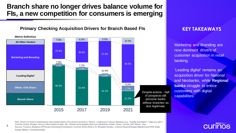# **Branch share no longer drives balance volume for FIs, a new competition for consumers is emerging**

### **Primary Checking Acquisition Drivers for Branch Based FIs <b>KEY TAKEAWAYS**



Marketing and Branding are now dominant drivers of customer acquisition in retail banking.

'Leading digital' remains an acquisition driver for National and Neobanks, while **Regional banks** struggle to entice customers with digital capabilities

Note: Drivers for branch-based banks only includes banks w ith a branch presence | \*Brand-composed of various attributes (e.g., "friendly and helpful", "helps you plan") from the Curinos Shopper Survey | Direct banks include: Ally, Charles Schw ab Bank, Discover | Neobanks include: Chime, Current, SoFi Money, Varo Source: Curinos Analysis of Primary Checking Purchasers; Curinos 2015-2021 U.S. Shopper Survey, Curinos BranchScape, MasterCard ATM Data, Kantar Media, Comperemedia

# **CULINOS**

**6**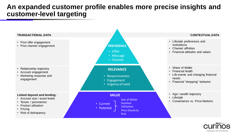# **An expanded customer profile enables more precise insights and customer-level targeting**



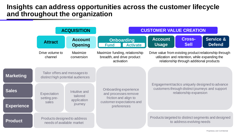## **Insights can address opportunities across the customer lifecycle and throughout the organization**

|                   | <b>ACQUISITION</b>                                                 |                                                                                                      | <b>CUSTOMER VALUE CREATION</b>                                                                                     |                                                                                                                              |                                                                                                                                                      |                                       |  |
|-------------------|--------------------------------------------------------------------|------------------------------------------------------------------------------------------------------|--------------------------------------------------------------------------------------------------------------------|------------------------------------------------------------------------------------------------------------------------------|------------------------------------------------------------------------------------------------------------------------------------------------------|---------------------------------------|--|
|                   | <b>Attract</b>                                                     | <b>Account</b><br><b>Opening</b>                                                                     | <b>Onboarding</b><br><b>Activate</b><br><b>Fund</b>                                                                | <b>Account</b><br><b>Usage</b>                                                                                               | <b>Cross-</b><br><b>Sell</b>                                                                                                                         | <b>Service &amp;</b><br><b>Defend</b> |  |
|                   | Drive volume to<br>channel                                         | Maximize<br>Maximize funding, relationship<br>breadth, and drive product<br>conversion<br>activation |                                                                                                                    |                                                                                                                              | Drive value from existing product relationship through<br>utilization and retention, while expanding the<br>relationship through additional products |                                       |  |
| <b>Marketing</b>  | Tailor offers and messages to<br>distinct high potential audiences |                                                                                                      |                                                                                                                    |                                                                                                                              |                                                                                                                                                      |                                       |  |
| <b>Sales</b>      | Expectation<br>setting pre-<br>sales                               | Intuitive and<br>tailored<br>application<br>journey                                                  | Onboarding experience<br>and processes remove<br>friction and align to<br>customer expectations and<br>preferences | Engagement tactics uniquely designed to advance<br>customers through distinct journeys and support<br>relationship expansion |                                                                                                                                                      |                                       |  |
| <b>Experience</b> |                                                                    |                                                                                                      |                                                                                                                    |                                                                                                                              |                                                                                                                                                      |                                       |  |
| <b>Product</b>    | Products designed to address<br>needs of available market          |                                                                                                      |                                                                                                                    | Products targeted to distinct segments and designed<br>to address evolving needs                                             |                                                                                                                                                      |                                       |  |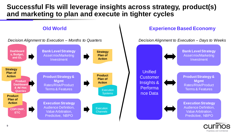# **Successful FIs will leverage insights across strategy, product(s) and marketing to plan and execute in tighter cycles**



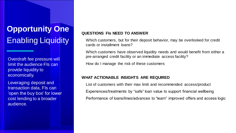# **Opportunity One** Enabling Liquidity

Overdraft fee pressure will limit the audience FIs can provide liquidity to economically.

Leveraging deposit and transaction data, FIs can 'open the buy box' for lower cost lending to a broader audience.

#### **QUESTIONS FIs NEED TO ANSWER**

Which customers, but for their deposit behavior, may be overlooked for credit cards or installment loans?

Which customers have observed liquidity needs and would benefit from either a pre-arranged credit facility or an immediate access facility?

How do I manage the risk of these customers

#### **WHAT ACTIONABLE INSIGHTS ARE REQUIRED**

List of customers with their max limit and recommended access/product Experiences/treatments by "safe" loan value to support financial wellbeing Performance of loans/lines/advances to "learn" improved offers and access logic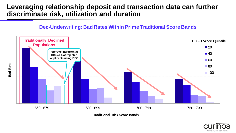# **Leveraging relationship deposit and transaction data can further discriminate risk, utilization and duration**





**Traditional Risk Score Bands**

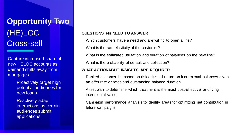**Opportunity Two** (HE)LOC Cross-sell

Capture increased share of new HELOC accounts as demand shifts away from mortgages

> Proactively target high potential audiences for new loans

Reactively adapt interactions as certain audiences submit applications

#### **QUESTIONS FIs NEED TO ANSWER**

Which customers have a need and are willing to open a line?

What is the rate elasticity of the customer?

What is the estimated utilization and duration of balances on the new line?

What is the probability of default and collection?

#### **WHAT ACTIONABLE INSIGHTS ARE REQUIRED**

Ranked customer list based on risk adjusted return on incremental balances given an offer rate or rates and outstanding balance duration

A test plan to determine which treatment is the most cost-effective for driving incremental value

Campaign performance analysis to identify areas for optimizing net contribution in future campaigns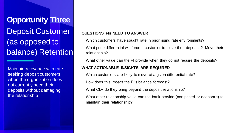**Opportunity Three** Deposit Customer (as opposed to balance) Retention

Maintain relevance with rateseeking deposit customers when the organization does not currently need their deposits without damaging the relationship

### **QUESTIONS FIs NEED TO ANSWER**

Which customers have sought rate in prior rising rate environments?

What price differential will force a customer to move their deposits? Move their relationship?

What other value can the FI provide when they do not require the deposits?

#### **WHAT ACTIONABLE INSIGHTS ARE REQUIRED**

Which customers are likely to move at a given differential rate?

How does this impact the FI's balance forecast?

What CLV do they bring beyond the deposit relationship?

What other relationship value can the bank provide (non-priced or economic) to maintain their relationship?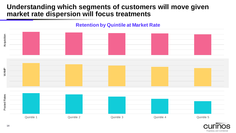# **Understanding which segments of customers will move given market rate dispersion will focus treatments**



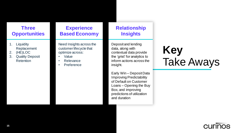### **Three Opportunities**

- 1. Liquidity Replacement
- 2. (HE)LOC
- 3. Quality Deposit **Retention**

## **Experience Based Economy**

Need Insights across the customer lifecycle that optimize across:

- Value
- Relevance
- Preference

### **Relationship Insights**

Deposit and lending data, along with contextual data provide the 'grist' for analytics to inform actions across the insight.

Early Win – Deposit Data Improving Predictability of Default on Customer Loans – Opening the Buy Box, and improving predictions of utilization and duration

# **Key** Take Aways